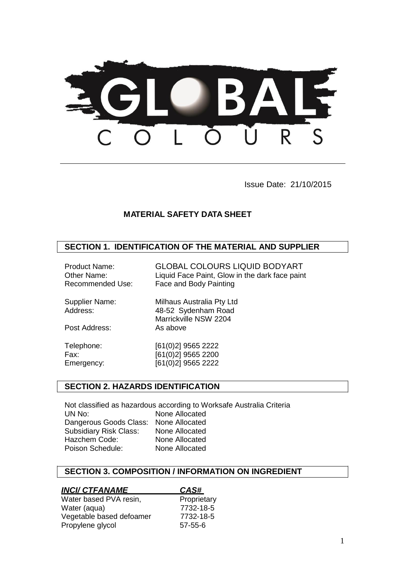

Issue Date: 21/10/2015

# **MATERIAL SAFETY DATA SHEET**

## **SECTION 1. IDENTIFICATION OF THE MATERIAL AND SUPPLIER**

| <b>Product Name:</b> | <b>GLOBAL COLOURS LIQUID BODYART</b>           |
|----------------------|------------------------------------------------|
| Other Name:          | Liquid Face Paint, Glow in the dark face paint |
| Recommended Use:     | Face and Body Painting                         |

| Supplier Name: | Milhaus Australia Pty Ltd |
|----------------|---------------------------|
| Address:       | 48-52 Sydenham Road       |
|                | Marrickville NSW 2204     |
| Post Address:  | As above                  |
|                |                           |

Telephone: [61(0)2] 9565 2222 Fax: [61(0)2] 9565 2200 Emergency: [61(0)2] 9565 2222

### **SECTION 2. HAZARDS IDENTIFICATION**

Not classified as hazardous according to Worksafe Australia Criteria UN No: None Allocated Dangerous Goods Class: None Allocated Subsidiary Risk Class: None Allocated Hazchem Code: None Allocated Poison Schedule: None Allocated

## **SECTION 3. COMPOSITION / INFORMATION ON INGREDIENT**

| <b>INCI/ CTFANAME</b>    | CAS#          |  |
|--------------------------|---------------|--|
| Water based PVA resin,   | Proprietary   |  |
| Water (aqua)             | 7732-18-5     |  |
| Vegetable based defoamer | 7732-18-5     |  |
| Propylene glycol         | $57 - 55 - 6$ |  |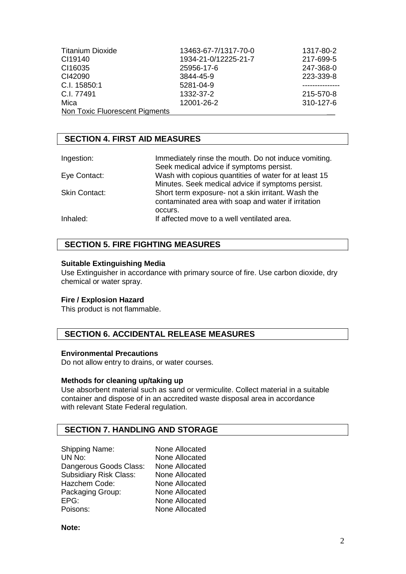| <b>Titanium Dioxide</b>        | 13463-67-7/1317-70-0 | 1317-80-2 |
|--------------------------------|----------------------|-----------|
| CI19140                        | 1934-21-0/12225-21-7 | 217-699-5 |
| CI16035                        | 25956-17-6           | 247-368-0 |
| CI42090                        | 3844-45-9            | 223-339-8 |
| C.I. 15850:1                   | 5281-04-9            |           |
| C.I. 77491                     | 1332-37-2            | 215-570-8 |
| Mica                           | 12001-26-2           | 310-127-6 |
| Non Toxic Fluorescent Pigments |                      |           |

# **SECTION 4. FIRST AID MEASURES**

| Ingestion:           | Immediately rinse the mouth. Do not induce vomiting.  |
|----------------------|-------------------------------------------------------|
|                      | Seek medical advice if symptoms persist.              |
| Eye Contact:         | Wash with copious quantities of water for at least 15 |
|                      | Minutes. Seek medical advice if symptoms persist.     |
| <b>Skin Contact:</b> | Short term exposure- not a skin irritant. Wash the    |
|                      | contaminated area with soap and water if irritation   |
|                      | occurs.                                               |
| Inhaled:             | If affected move to a well ventilated area.           |

# **SECTION 5. FIRE FIGHTING MEASURES**

### **Suitable Extinguishing Media**

Use Extinguisher in accordance with primary source of fire. Use carbon dioxide, dry chemical or water spray.

### **Fire / Explosion Hazard**

This product is not flammable.

## **SECTION 6. ACCIDENTAL RELEASE MEASURES**

### **Environmental Precautions**

Do not allow entry to drains, or water courses.

#### **Methods for cleaning up/taking up**

Use absorbent material such as sand or vermiculite. Collect material in a suitable container and dispose of in an accredited waste disposal area in accordance with relevant State Federal regulation.

# **SECTION 7. HANDLING AND STORAGE**

| <b>Shipping Name:</b>         | None Allocated |
|-------------------------------|----------------|
| UN No:                        | None Allocated |
| Dangerous Goods Class:        | None Allocated |
| <b>Subsidiary Risk Class:</b> | None Allocated |
| Hazchem Code:                 | None Allocated |
| Packaging Group:              | None Allocated |
| EPG:                          | None Allocated |
| Poisons:                      | None Allocated |

**Note:**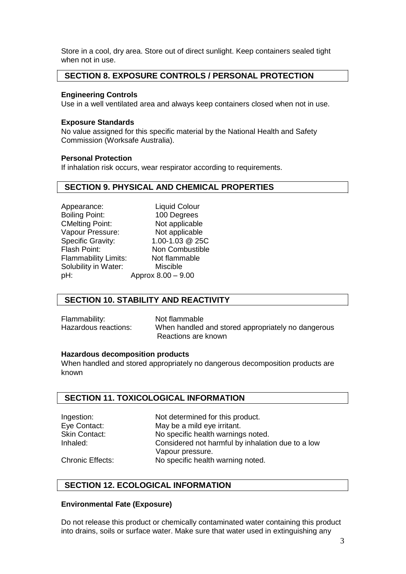Store in a cool, dry area. Store out of direct sunlight. Keep containers sealed tight when not in use.

## **SECTION 8. EXPOSURE CONTROLS / PERSONAL PROTECTION**

### **Engineering Controls**

Use in a well ventilated area and always keep containers closed when not in use.

#### **Exposure Standards**

No value assigned for this specific material by the National Health and Safety Commission (Worksafe Australia).

#### **Personal Protection**

If inhalation risk occurs, wear respirator according to requirements.

## **SECTION 9. PHYSICAL AND CHEMICAL PROPERTIES**

Appearance: Liquid Colour Boiling Point: 100 Degrees CMelting Point: Not applicable Vapour Pressure: Not applicable Specific Gravity: 1.00-1.03 @ 25C Flammability Limits: Not flammable Solubility in Water: Miscible pH: Approx 8.00 – 9.00

Flash Point: Non Combustible

# **SECTION 10. STABILITY AND REACTIVITY**

Flammability: Not flammable

Hazardous reactions: When handled and stored appropriately no dangerous Reactions are known

#### **Hazardous decomposition products**

When handled and stored appropriately no dangerous decomposition products are known

# **SECTION 11. TOXICOLOGICAL INFORMATION**

Ingestion: Not determined for this product. Eye Contact: May be a mild eye irritant. Skin Contact: No specific health warnings noted. Inhaled: Considered not harmful by inhalation due to a low Vapour pressure. Chronic Effects: No specific health warning noted.

### **SECTION 12. ECOLOGICAL INFORMATION**

#### **Environmental Fate (Exposure)**

Do not release this product or chemically contaminated water containing this product into drains, soils or surface water. Make sure that water used in extinguishing any